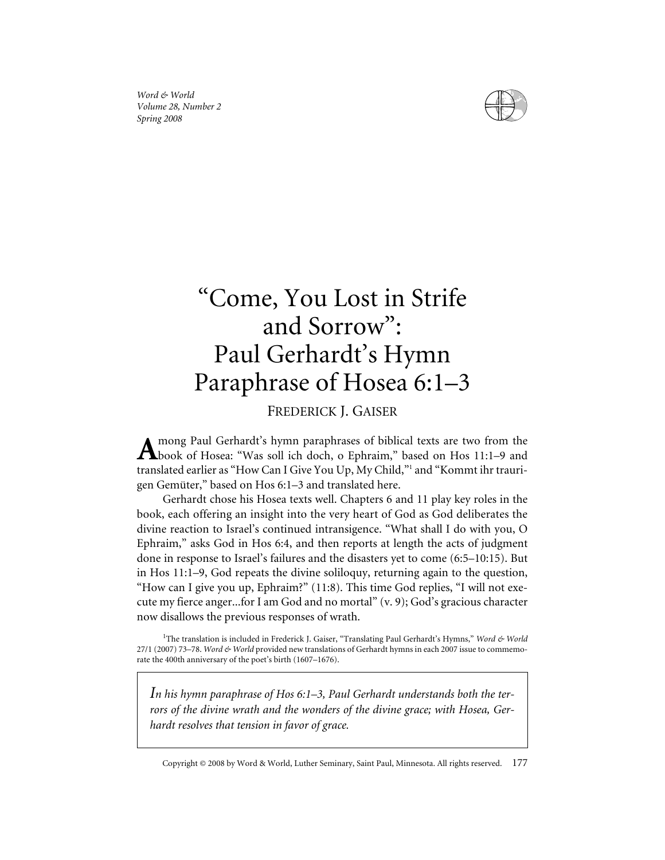*Word & World Volume 28, Number 2 Spring 2008*



# "Come, You Lost in Strife and Sorrow": Paul Gerhardt's Hymn Paraphrase of Hosea 6:1–3

# FREDERICK J. GAISER

mong Paul Gerhardt's hymn paraphrases of biblical texts are two from the  $\mathbf A$ book of Hosea: "Was soll ich doch, o Ephraim," based on Hos 11:1-9 and translated earlier as "How Can I Give You Up, My Child,"<sup>1</sup> and "Kommt ihr traurigen Gemüter," based on Hos 6:1–3 and translated here.

Gerhardt chose his Hosea texts well. Chapters 6 and 11 play key roles in the book, each offering an insight into the very heart of God as God deliberates the divine reaction to Israel's continued intransigence. "What shall I do with you, O Ephraim," asks God in Hos 6:4, and then reports at length the acts of judgment done in response to Israel's failures and the disasters yet to come (6:5–10:15). But in Hos 11:1–9, God repeats the divine soliloquy, returning again to the question, "How can I give you up, Ephraim?" (11:8). This time God replies, "I will not execute my fierce anger...for I am God and no mortal" (v. 9); God's gracious character now disallows the previous responses of wrath.

<sup>1</sup>The translation is included in Frederick J. Gaiser, "Translating Paul Gerhardt's Hymns," Word & World 27/1 (2007) 73–78. *Word & World* provided new translations of Gerhardt hymns in each 2007 issue to commemorate the 400th anniversary of the poet's birth (1607–1676).

*In his hymn paraphrase of Hos 6:1–3, Paul Gerhardt understands both the terrors of the divine wrath and the wonders of the divine grace; with Hosea, Gerhardt resolves that tension in favor of grace.*

Copyright © 2008 by Word & World, Luther Seminary, Saint Paul, Minnesota. All rights reserved. 177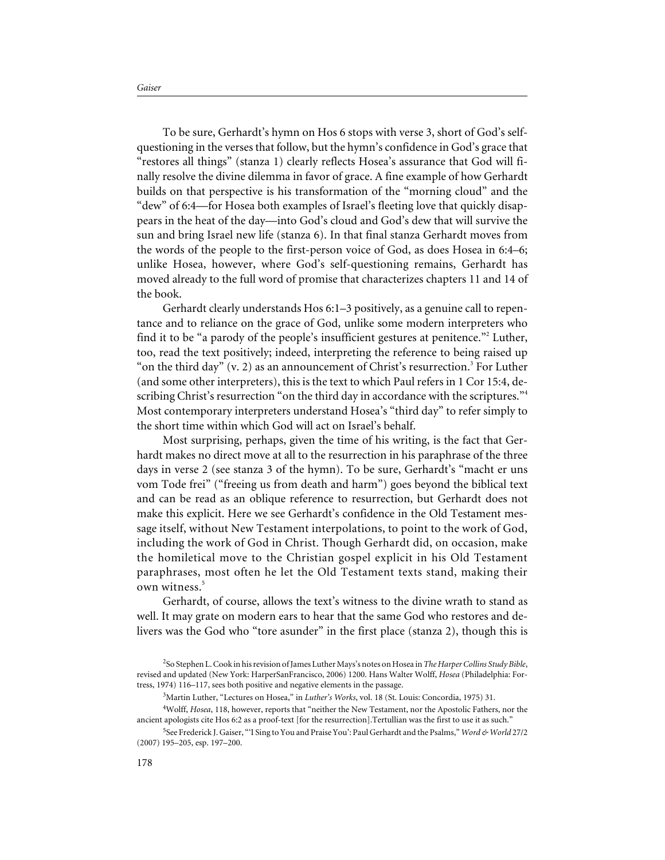To be sure, Gerhardt's hymn on Hos 6 stops with verse 3, short of God's selfquestioning in the verses that follow, but the hymn's confidence in God's grace that "restores all things" (stanza 1) clearly reflects Hosea's assurance that God will finally resolve the divine dilemma in favor of grace. A fine example of how Gerhardt builds on that perspective is his transformation of the "morning cloud" and the "dew" of 6:4—for Hosea both examples of Israel's fleeting love that quickly disappears in the heat of the day—into God's cloud and God's dew that will survive the sun and bring Israel new life (stanza 6). In that final stanza Gerhardt moves from the words of the people to the first-person voice of God, as does Hosea in 6:4–6; unlike Hosea, however, where God's self-questioning remains, Gerhardt has moved already to the full word of promise that characterizes chapters 11 and 14 of the book.

Gerhardt clearly understands Hos 6:1–3 positively, as a genuine call to repentance and to reliance on the grace of God, unlike some modern interpreters who find it to be "a parody of the people's insufficient gestures at penitence."<sup>2</sup> Luther, too, read the text positively; indeed, interpreting the reference to being raised up "on the third day"  $(v, 2)$  as an announcement of Christ's resurrection.<sup>3</sup> For Luther (and some other interpreters), this is the text to which Paul refers in 1 Cor 15:4, describing Christ's resurrection "on the third day in accordance with the scriptures."<sup>4</sup> Most contemporary interpreters understand Hosea's "third day" to refer simply to the short time within which God will act on Israel's behalf.

Most surprising, perhaps, given the time of his writing, is the fact that Gerhardt makes no direct move at all to the resurrection in his paraphrase of the three days in verse 2 (see stanza 3 of the hymn). To be sure, Gerhardt's "macht er uns vom Tode frei" ("freeing us from death and harm") goes beyond the biblical text and can be read as an oblique reference to resurrection, but Gerhardt does not make this explicit. Here we see Gerhardt's confidence in the Old Testament message itself, without New Testament interpolations, to point to the work of God, including the work of God in Christ. Though Gerhardt did, on occasion, make the homiletical move to the Christian gospel explicit in his Old Testament paraphrases, most often he let the Old Testament texts stand, making their own witness.<sup>5</sup>

Gerhardt, of course, allows the text's witness to the divine wrath to stand as well. It may grate on modern ears to hear that the same God who restores and delivers was the God who "tore asunder" in the first place (stanza 2), though this is

<sup>2</sup> So Stephen L. Cook in his revision of James Luther Mays's notes on Hosea in*The Harper Collins Study Bible*, revised and updated (New York: HarperSanFrancisco, 2006) 1200. Hans Walter Wolff, *Hosea* (Philadelphia: Fortress, 1974) 116–117, sees both positive and negative elements in the passage.

<sup>3</sup> Martin Luther, "Lectures on Hosea," in *Luther's Works*, vol. 18 (St. Louis: Concordia, 1975) 31.

<sup>4</sup> Wolff, *Hosea*, 118, however, reports that "neither the New Testament, nor the Apostolic Fathers, nor the ancient apologists cite Hos 6:2 as a proof-text [for the resurrection].Tertullian was the first to use it as such."

<sup>5</sup> See Frederick J. Gaiser, "'I Sing to You and Praise You': Paul Gerhardt and the Psalms," *Word & World* 27/2 (2007) 195–205, esp. 197–200.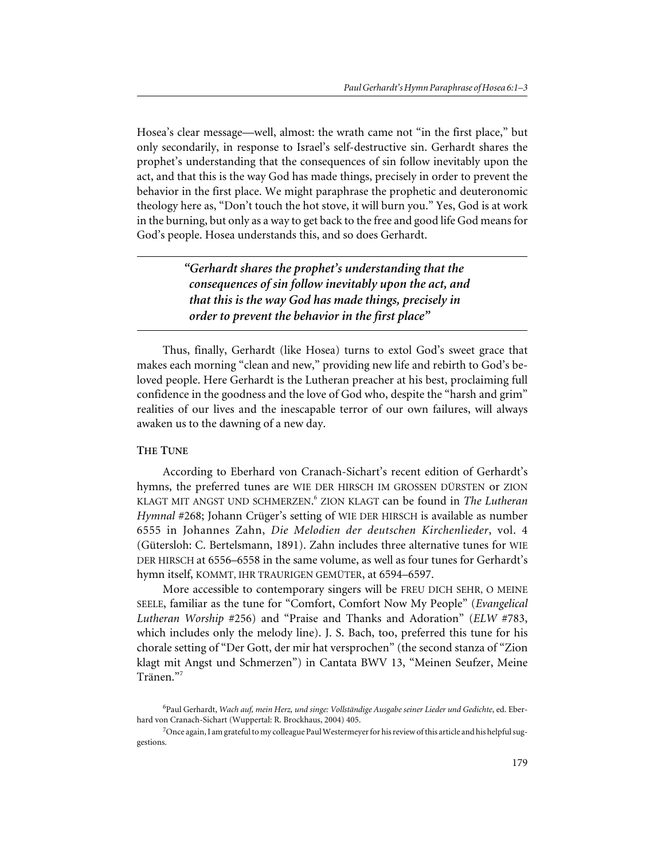Hosea's clear message—well, almost: the wrath came not "in the first place," but only secondarily, in response to Israel's self-destructive sin. Gerhardt shares the prophet's understanding that the consequences of sin follow inevitably upon the act, and that this is the way God has made things, precisely in order to prevent the behavior in the first place. We might paraphrase the prophetic and deuteronomic theology here as, "Don't touch the hot stove, it will burn you." Yes, God is at work in the burning, but only as a way to get back to the free and good life God means for God's people. Hosea understands this, and so does Gerhardt.

> *"Gerhardt shares the prophet's understanding that the consequences of sin follow inevitably upon the act, and that this is the way God has made things, precisely in order to prevent the behavior in the first place"*

Thus, finally, Gerhardt (like Hosea) turns to extol God's sweet grace that makes each morning "clean and new," providing new life and rebirth to God's beloved people. Here Gerhardt is the Lutheran preacher at his best, proclaiming full confidence in the goodness and the love of God who, despite the "harsh and grim" realities of our lives and the inescapable terror of our own failures, will always awaken us to the dawning of a new day.

## **THE TUNE**

According to Eberhard von Cranach-Sichart's recent edition of Gerhardt's hymns, the preferred tunes are WIE DER HIRSCH IM GROSSEN DÜRSTEN or ZION KLAGT MIT ANGST UND SCHMERZEN. <sup>6</sup> ZION KLAGT can be found in *The Lutheran Hymnal* #268; Johann Crüger's setting of WIE DER HIRSCH is available as number 6555 in Johannes Zahn, *Die Melodien der deutschen Kirchenlieder*, vol. 4 (Gütersloh: C. Bertelsmann, 1891). Zahn includes three alternative tunes for WIE DER HIRSCH at 6556–6558 in the same volume, as well as four tunes for Gerhardt's hymn itself, KOMMT, IHR TRAURIGEN GEMÜTER, at 6594–6597.

More accessible to contemporary singers will be FREU DICH SEHR, O MEINE SEELE, familiar as the tune for "Comfort, Comfort Now My People" (*Evangelical Lutheran Worship* #256) and "Praise and Thanks and Adoration" (*ELW* #783, which includes only the melody line). J. S. Bach, too, preferred this tune for his chorale setting of "Der Gott, der mir hat versprochen" (the second stanza of "Zion klagt mit Angst und Schmerzen") in Cantata BWV 13, "Meinen Seufzer, Meine Tränen."<sup>7</sup>

<sup>6</sup> Paul Gerhardt, *Wach auf, mein Herz, und singe: Vollständige Ausgabe seiner Lieder und Gedichte*, ed. Eberhard von Cranach-Sichart (Wuppertal: R. Brockhaus, 2004) 405.

 $^{7}$ Once again, I am grateful to my colleague Paul Westermeyer for his review of this article and his helpful suggestions.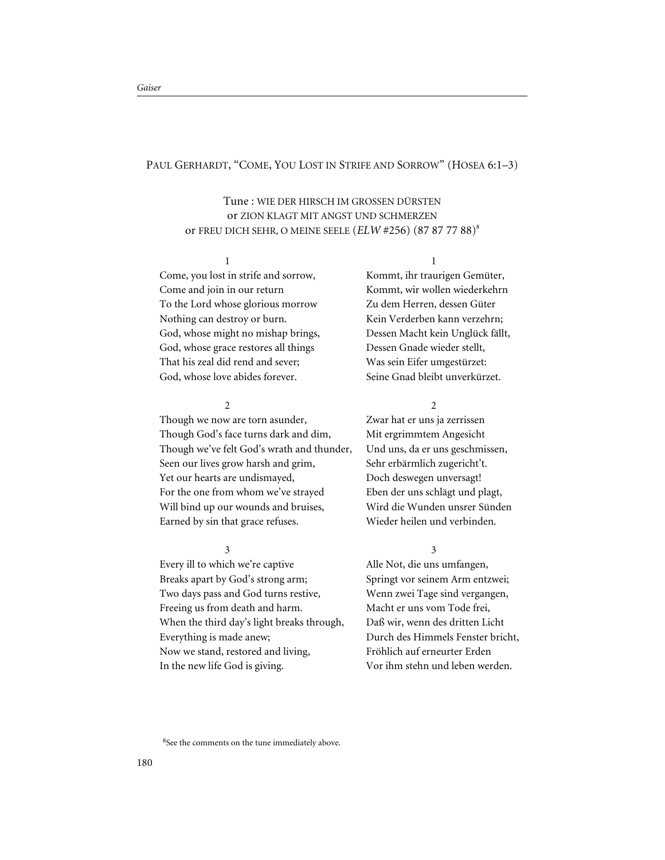## PAUL GERHARDT, "COME, YOU LOST IN STRIFE AND SORROW" (HOSEA 6:1-3)

# Tune : WIE DER HIRSCH IM GROSSEN DÜRSTEN or ZION KLAGT MIT ANGST UND SCHMERZEN or FREU DICH SEHR, O MEINE SEELE (*ELW* #256) (87 87 77 88)8

#### 1

Come, you lost in strife and sorrow, Come and join in our return To the Lord whose glorious morrow Nothing can destroy or burn. God, whose might no mishap brings, God, whose grace restores all things That his zeal did rend and sever; God, whose love abides forever.

# $\overline{2}$

Though we now are torn asunder, Though God's face turns dark and dim, Though we've felt God's wrath and thunder, Seen our lives grow harsh and grim, Yet our hearts are undismayed, For the one from whom we've strayed Will bind up our wounds and bruises, Earned by sin that grace refuses.

# 3

Every ill to which we're captive Breaks apart by God's strong arm; Two days pass and God turns restive, Freeing us from death and harm. When the third day's light breaks through, Everything is made anew; Now we stand, restored and living, In the new life God is giving.

1 Kommt, ihr traurigen Gemüter, Kommt, wir wollen wiederkehrn Zu dem Herren, dessen Güter Kein Verderben kann verzehrn; Dessen Macht kein Unglück fällt, Dessen Gnade wieder stellt, Was sein Eifer umgestürzet: Seine Gnad bleibt unverkürzet.

#### $\mathcal{L}$

Zwar hat er uns ja zerrissen Mit ergrimmtem Angesicht Und uns, da er uns geschmissen, Sehr erbärmlich zugericht't. Doch deswegen unversagt! Eben der uns schlägt und plagt, Wird die Wunden unsrer Sünden Wieder heilen und verbinden.

#### 3

Alle Not, die uns umfangen, Springt vor seinem Arm entzwei; Wenn zwei Tage sind vergangen, Macht er uns vom Tode frei, Daß wir, wenn des dritten Licht Durch des Himmels Fenster bricht, Fröhlich auf erneurter Erden Vor ihm stehn und leben werden.

<sup>8</sup>See the comments on the tune immediately above.